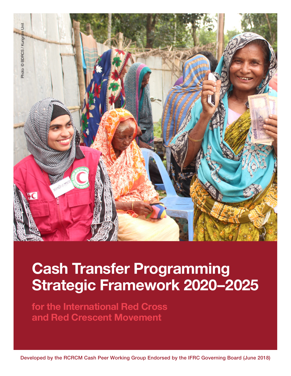

# **Cash Transfer Programming Strategic Framework 2020–2025**

**for the International Red Cross and Red Crescent Movement**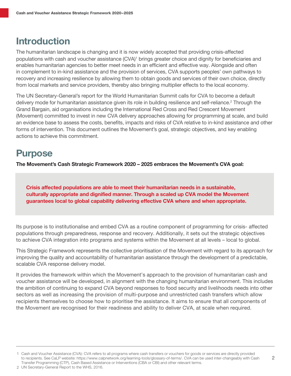### **Introduction**

The humanitarian landscape is changing and it is now widely accepted that providing crisis-affected populations with cash and voucher assistance (CVA)<sup>1</sup> brings greater choice and dignity for beneficiaries and enables humanitarian agencies to better meet needs in an efficient and effective way. Alongside and often in complement to in-kind assistance and the provision of services, CVA supports peoples' own pathways to recovery and increasing resilience by allowing them to obtain goods and services of their own choice, directly from local markets and service providers, thereby also bringing multiplier effects to the local economy.

The UN Secretary-General's report for the World Humanitarian Summit calls for CVA to become a default delivery mode for humanitarian assistance given its role in building resilience and self-reliance.<sup>2</sup> Through the Grand Bargain, aid organisations including the International Red Cross and Red Crescent Movement (Movement) committed to invest in new CVA delivery approaches allowing for programming at scale, and build an evidence base to assess the costs, benefits, impacts and risks of CVA relative to in-kind assistance and other forms of intervention. This document outlines the Movement's goal, strategic objectives, and key enabling actions to achieve this commitment.

### **Purpose**

**The Movement's Cash Strategic Framework 2020 – 2025 embraces the Movement's** CVA **goal:**

**Crisis affected populations are able to meet their humanitarian needs in a sustainable, culturally appropriate and dignified manner. Through a scaled up CVA model the Movement guarantees local to global capability delivering effective CVA where and when appropriate.**

Its purpose is to institutionalise and embed CVA as a routine component of programming for crisis- affected populations through preparedness, response and recovery. Additionally, it sets out the strategic objectives to achieve CVA integration into programs and systems within the Movement at all levels – local to global.

This Strategic Framework represents the collective prioritisation of the Movement with regard to its approach for improving the quality and accountability of humanitarian assistance through the development of a predictable, scalable CVA response delivery model.

It provides the framework within which the Movement's approach to the provision of humanitarian cash and voucher assistance will be developed, in alignment with the changing humanitarian environment. This includes the ambition of continuing to expand CVA beyond responses to food security and livelihoods needs into other sectors as well as increasing the provision of multi-purpose and unrestricted cash transfers which allow recipients themselves to choose how to prioritise the assistance. It aims to ensure that all components of the Movement are recognised for their readiness and ability to deliver CVA, at scale when required.

Cash and Voucher Assistance (CVA): CVA refers to all programs where cash transfers or vouchers for goods or services are directly provided 1 to recipients. See CaLP website: https://www.calpnetwork.org/learning-tools/glossary-of-terms/. CVA can be used inter-changeably with Cash Transfer Programming (CTP), Cash Based Assistance or Interventions (CBA or CBI) and other relevant terms.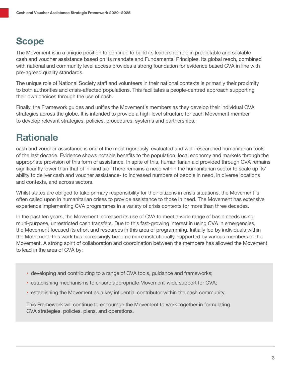# **Scope**

The Movement is in a unique position to continue to build its leadership role in predictable and scalable cash and voucher assistance based on its mandate and Fundamental Principles. Its global reach, combined with national and community level access provides a strong foundation for evidence based CVA in line with pre-agreed quality standards.

The unique role of National Society staff and volunteers in their national contexts is primarily their proximity to both authorities and crisis-affected populations. This facilitates a people-centred approach supporting their own choices through the use of cash.

Finally, the Framework guides and unifies the Movement's members as they develop their individual CVA strategies across the globe. It is intended to provide a high-level structure for each Movement member to develop relevant strategies, policies, procedures, systems and partnerships.

# **Rationale**

cash and voucher assistance is one of the most rigorously–evaluated and well-researched humanitarian tools of the last decade. Evidence shows notable benefits to the population, local economy and markets through the appropriate provision of this form of assistance. In spite of this, humanitarian aid provided through CVA remains significantly lower than that of in-kind aid. There remains a need within the humanitarian sector to scale up its' ability to deliver cash and voucher assistance- to increased numbers of people in need, in diverse locations and contexts, and across sectors.

Whilst states are obliged to take primary responsibility for their citizens in crisis situations, the Movement is often called upon in humanitarian crises to provide assistance to those in need. The Movement has extensive experience implementing CVA programmes in a variety of crisis contexts for more than three decades.

In the past ten years, the Movement increased its use of CVA to meet a wide range of basic needs using multi-purpose, unrestricted cash transfers. Due to this fast-growing interest in using CVA in emergencies, the Movement focused its effort and resources in this area of programming. Initially led by individuals within the Movement, this work has increasingly become more institutionally-supported by various members of the Movement. A strong spirit of collaboration and coordination between the members has allowed the Movement to lead in the area of CVA by:

- developing and contributing to a range of CVA tools, guidance and frameworks;
- establishing mechanisms to ensure appropriate Movement-wide support for CVA;
- establishing the Movement as a key influential contributor within the cash community.

This Framework will continue to encourage the Movement to work together in formulating CVA strategies, policies, plans, and operations.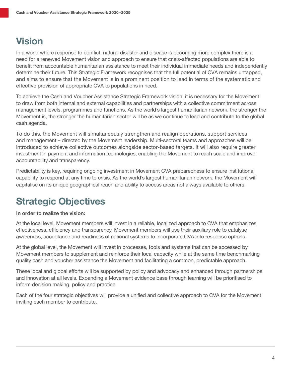### **Vision**

In a world where response to conflict, natural disaster and disease is becoming more complex there is a need for a renewed Movement vision and approach to ensure that crisis-affected populations are able to benefit from accountable humanitarian assistance to meet their individual immediate needs and independently determine their future. This Strategic Framework recognises that the full potential of CVA remains untapped, and aims to ensure that the Movement is in a prominent position to lead in terms of the systematic and effective provision of appropriate CVA to populations in need.

To achieve the Cash and Voucher Assistance Strategic Framework vision, it is necessary for the Movement to draw from both internal and external capabilities and partnerships with a collective commitment across management levels, programmes and functions. As the world's largest humanitarian network, the stronger the Movement is, the stronger the humanitarian sector will be as we continue to lead and contribute to the global cash agenda.

To do this, the Movement will simultaneously strengthen and realign operations, support services and management – directed by the Movement leadership. Multi-sectoral teams and approaches will be introduced to achieve collective outcomes alongside sector-based targets. It will also require greater investment in payment and information technologies, enabling the Movement to reach scale and improve accountability and transparency.

Predictability is key, requiring ongoing investment in Movement CVA preparedness to ensure institutional capability to respond at any time to crisis. As the world's largest humanitarian network, the Movement will capitalise on its unique geographical reach and ability to access areas not always available to others.

# **Strategic Objectives**

#### **In order to realize the vision:**

At the local level, Movement members will invest in a reliable, localized approach to CVA that emphasizes effectiveness, efficiency and transparency. Movement members will use their auxiliary role to catalyse awareness, acceptance and readiness of national systems to incorporate CVA into response options.

At the global level, the Movement will invest in processes, tools and systems that can be accessed by Movement members to supplement and reinforce their local capacity while at the same time benchmarking quality cash and voucher assistance the Movement and facilitating a common, predictable approach.

These local and global efforts will be supported by policy and advocacy and enhanced through partnerships and innovation at all levels. Expanding a Movement evidence base through learning will be prioritised to inform decision making, policy and practice.

Each of the four strategic objectives will provide a unified and collective approach to CVA for the Movement inviting each member to contribute.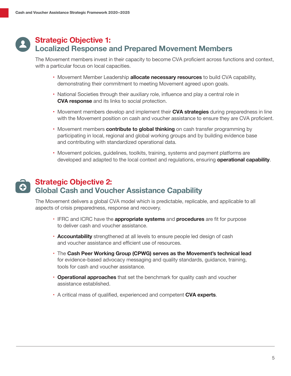#### **Strategic Objective 1: Localized Response and Prepared Movement Members**

The Movement members invest in their capacity to become CVA proficient across functions and context, with a particular focus on local capacities.

- Movement Member Leadership **allocate necessary resources** to build CVA capability, demonstrating their commitment to meeting Movement agreed upon goals.
- National Societies through their auxiliary role, influence and play a central role in **CVA response** and its links to social protection.
- Movement members develop and implement their **CVA strategies** during preparedness in line with the Movement position on cash and voucher assistance to ensure they are CVA proficient.
- Movement members **contribute to global thinking** on cash transfer programming by participating in local, regional and global working groups and by building evidence base and contributing with standardized operational data.
- Movement policies, guidelines, toolkits, training, systems and payment platforms are developed and adapted to the local context and regulations, ensuring **operational capability**.

#### **Strategic Objective 2: Global Cash and Voucher Assistance Capability**

The Movement delivers a global CVA model which is predictable, replicable, and applicable to all aspects of crisis preparedness, response and recovery.

- IFRC and ICRC have the **appropriate systems** and **procedures** are fit for purpose to deliver cash and voucher assistance.
- **Accountability** strengthened at all levels to ensure people led design of cash and voucher assistance and efficient use of resources.
- The **Cash Peer Working Group (CPWG) serves as the Movement's technical lead** for evidence-based advocacy messaging and quality standards, guidance, training, tools for cash and voucher assistance.
- **Operational approaches** that set the benchmark for quality cash and voucher assistance established.
- A critical mass of qualified, experienced and competent **CVA experts**.